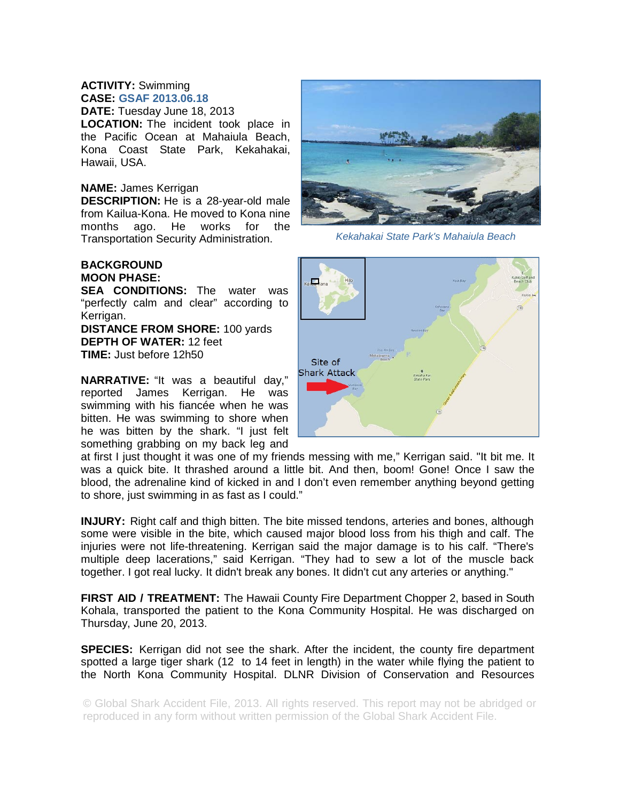## **ACTIVITY:** Swimming **CASE: GSAF 2013.06.18**

**DATE:** Tuesday June 18, 2013 **LOCATION:** The incident took place in the Pacific Ocean at Mahaiula Beach, Kona Coast State Park, Kekahakai, Hawaii, USA.

## **NAME:** James Kerrigan

**DESCRIPTION:** He is a 28-year-old male from Kailua-Kona. He moved to Kona nine months ago. He works for the Transportation Security Administration.

## **BACKGROUND MOON PHASE:**

**SEA CONDITIONS:** The water was "perfectly calm and clear" according to Kerrigan. **DISTANCE FROM SHORE:** 100 yards

**DEPTH OF WATER:** 12 feet **TIME:** Just before 12h50

**NARRATIVE:** "It was a beautiful day," reported James Kerrigan. He was swimming with his fiancée when he was bitten. He was swimming to shore when he was bitten by the shark. "I just felt something grabbing on my back leg and



*Kekahakai State Park's Mahaiula Beach* 



at first I just thought it was one of my friends messing with me," Kerrigan said. "It bit me. It was a quick bite. It thrashed around a little bit. And then, boom! Gone! Once I saw the blood, the adrenaline kind of kicked in and I don't even remember anything beyond getting to shore, just swimming in as fast as I could."

**INJURY:** Right calf and thigh bitten. The bite missed tendons, arteries and bones, although some were visible in the bite, which caused major blood loss from his thigh and calf. The injuries were not life-threatening. Kerrigan said the major damage is to his calf. "There's multiple deep lacerations," said Kerrigan. "They had to sew a lot of the muscle back together. I got real lucky. It didn't break any bones. It didn't cut any arteries or anything."

**FIRST AID / TREATMENT:** The Hawaii County Fire Department Chopper 2, based in South Kohala, transported the patient to the Kona Community Hospital. He was discharged on Thursday, June 20, 2013.

**SPECIES:** Kerrigan did not see the shark. After the incident, the county fire department spotted a large tiger shark (12 to 14 feet in length) in the water while flying the patient to the North Kona Community Hospital. DLNR Division of Conservation and Resources

© Global Shark Accident File, 2013. All rights reserved. This report may not be abridged or reproduced in any form without written permission of the Global Shark Accident File.